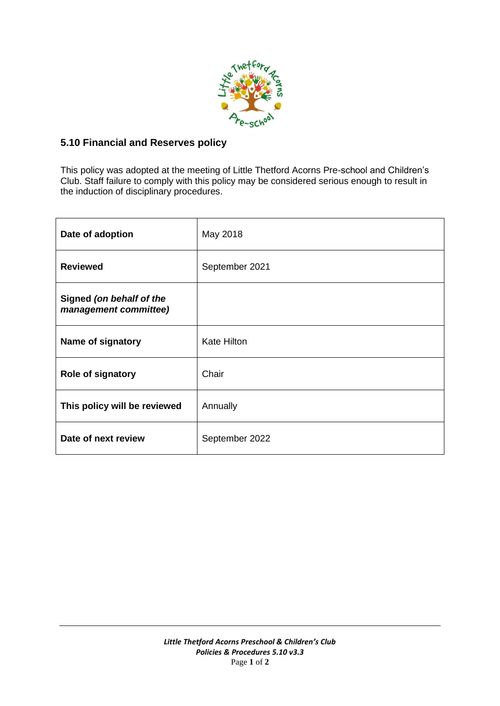

## **5.10 Financial and Reserves policy**

This policy was adopted at the meeting of Little Thetford Acorns Pre-school and Children's Club. Staff failure to comply with this policy may be considered serious enough to result in the induction of disciplinary procedures.

| Date of adoption                                  | May 2018           |
|---------------------------------------------------|--------------------|
| <b>Reviewed</b>                                   | September 2021     |
| Signed (on behalf of the<br>management committee) |                    |
| Name of signatory                                 | <b>Kate Hilton</b> |
| <b>Role of signatory</b>                          | Chair              |
| This policy will be reviewed                      | Annually           |
| Date of next review                               | September 2022     |